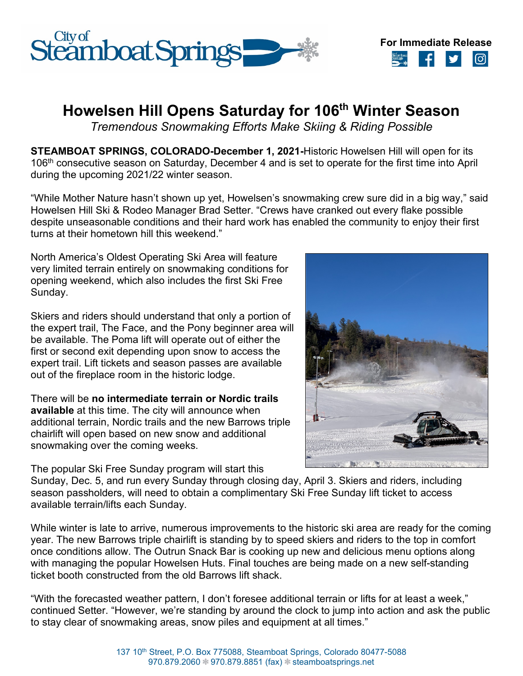



## **Howelsen Hill Opens Saturday for 106th Winter Season**

*Tremendous Snowmaking Efforts Make Skiing & Riding Possible*

**STEAMBOAT SPRINGS, COLORADO-December 1, 2021-**Historic Howelsen Hill will open for its 106<sup>th</sup> consecutive season on Saturday, December 4 and is set to operate for the first time into April during the upcoming 2021/22 winter season.

"While Mother Nature hasn't shown up yet, Howelsen's snowmaking crew sure did in a big way," said Howelsen Hill Ski & Rodeo Manager Brad Setter. "Crews have cranked out every flake possible despite unseasonable conditions and their hard work has enabled the community to enjoy their first turns at their hometown hill this weekend."

North America's Oldest Operating Ski Area will feature very limited terrain entirely on snowmaking conditions for opening weekend, which also includes the first Ski Free Sunday.

Skiers and riders should understand that only a portion of the expert trail, The Face, and the Pony beginner area will be available. The Poma lift will operate out of either the first or second exit depending upon snow to access the expert trail. Lift tickets and season passes are available out of the fireplace room in the historic lodge.

There will be **no intermediate terrain or Nordic trails available** at this time. The city will announce when additional terrain, Nordic trails and the new Barrows triple chairlift will open based on new snow and additional snowmaking over the coming weeks.



The popular Ski Free Sunday program will start this

Sunday, Dec. 5, and run every Sunday through closing day, April 3. Skiers and riders, including season passholders, will need to obtain a complimentary Ski Free Sunday lift ticket to access available terrain/lifts each Sunday.

While winter is late to arrive, numerous improvements to the historic ski area are ready for the coming year. The new Barrows triple chairlift is standing by to speed skiers and riders to the top in comfort once conditions allow. The Outrun Snack Bar is cooking up new and delicious menu options along with managing the popular Howelsen Huts. Final touches are being made on a new self-standing ticket booth constructed from the old Barrows lift shack.

"With the forecasted weather pattern, I don't foresee additional terrain or lifts for at least a week," continued Setter. "However, we're standing by around the clock to jump into action and ask the public to stay clear of snowmaking areas, snow piles and equipment at all times."